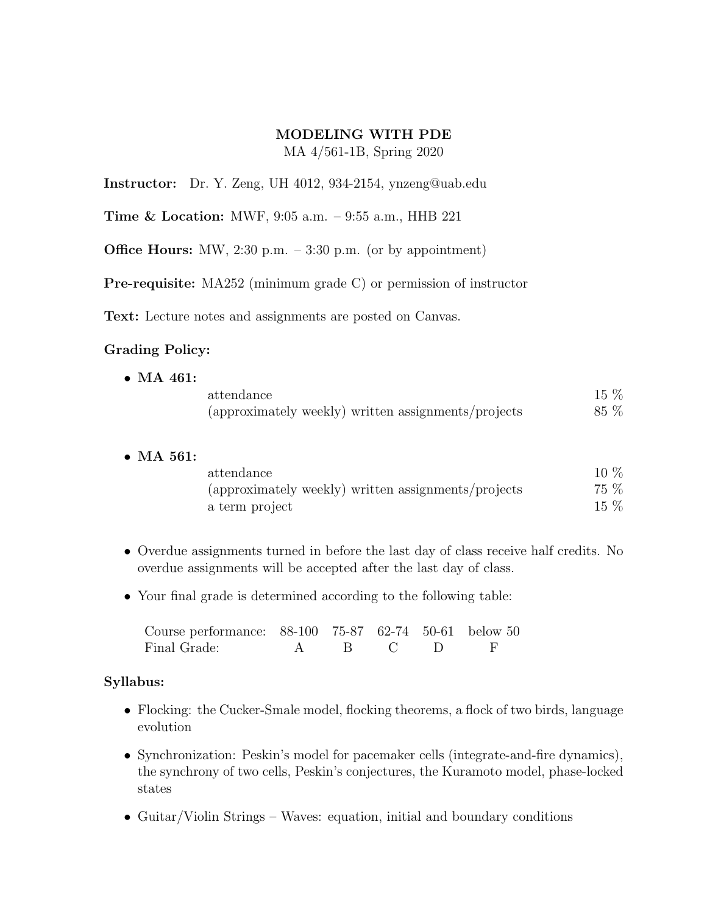## MODELING WITH PDE MA 4/561-1B, Spring 2020

Instructor: Dr. Y. Zeng, UH 4012, 934-2154, ynzeng@uab.edu

Time & Location: MWF, 9:05 a.m. – 9:55 a.m., HHB 221

**Office Hours:** MW, 2:30 p.m.  $-3:30$  p.m. (or by appointment)

Pre-requisite: MA252 (minimum grade C) or permission of instructor

Text: Lecture notes and assignments are posted on Canvas.

## Grading Policy:

| $\bullet$ MA 461: |                                                     |      |
|-------------------|-----------------------------------------------------|------|
|                   | attendance                                          | 15 % |
|                   | (approximately weekly) written assignments/projects | 85 % |

• MA 561:

| attendance                                          | $10\%$ |
|-----------------------------------------------------|--------|
| (approximately weekly) written assignments/projects | 75 %   |
| a term project                                      | $15\%$ |

- Overdue assignments turned in before the last day of class receive half credits. No overdue assignments will be accepted after the last day of class.
- Your final grade is determined according to the following table:

| Course performance: 88-100 75-87 62-74 50-61 below 50 |  |           |  |
|-------------------------------------------------------|--|-----------|--|
| Final Grade:                                          |  | A B C D F |  |

## Syllabus:

- Flocking: the Cucker-Smale model, flocking theorems, a flock of two birds, language evolution
- Synchronization: Peskin's model for pacemaker cells (integrate-and-fire dynamics), the synchrony of two cells, Peskin's conjectures, the Kuramoto model, phase-locked states
- Guitar/Violin Strings Waves: equation, initial and boundary conditions